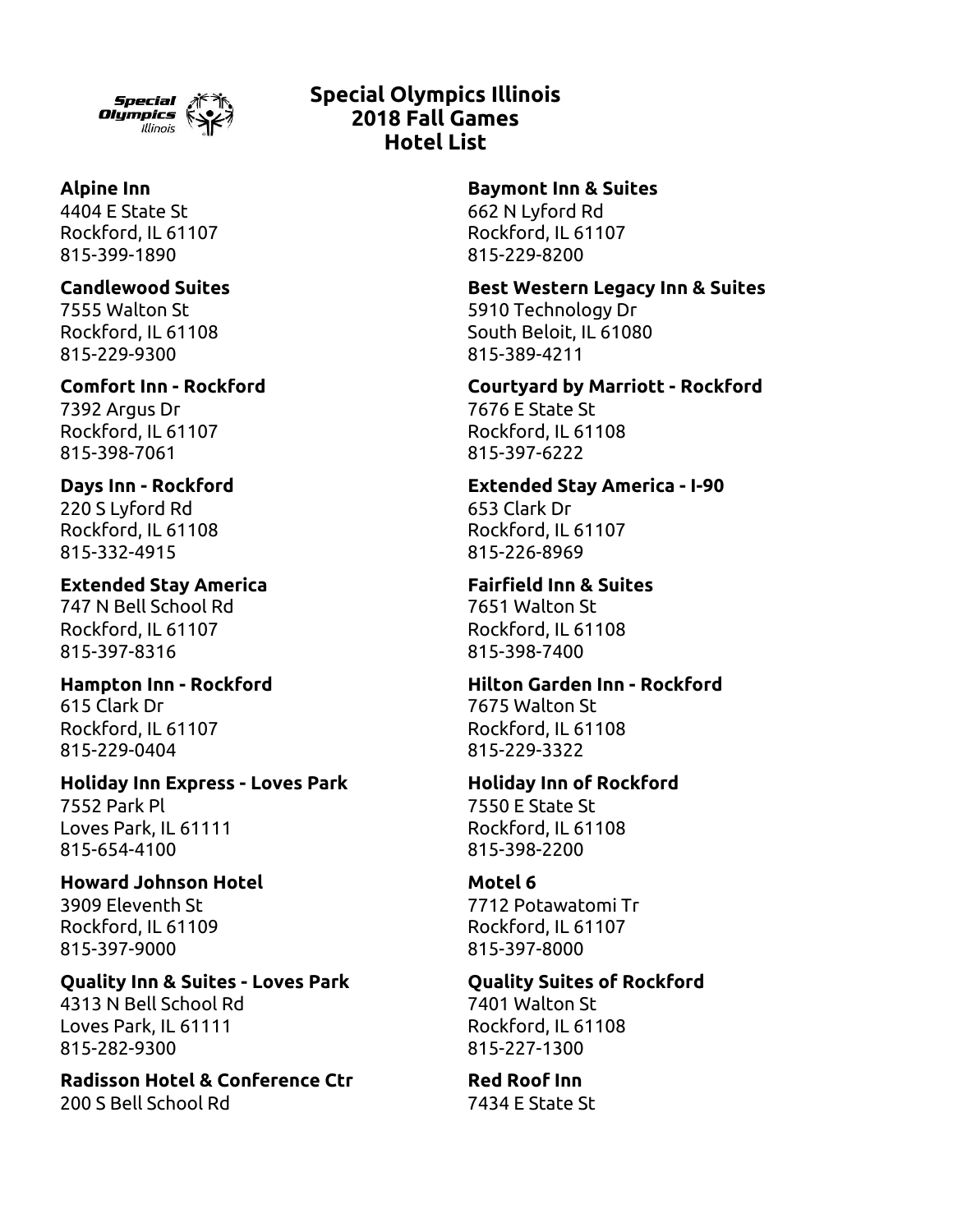

4404 E State St 662 N Lyford Rd 815-399-1890 815-229-8200

7555 Walton St 5910 Technology Dr

815-229-9300 815-389-4211

7392 Argus Dr 7676 E State St Rockford, IL 61107 Rockford, IL 61108 815-398-7061 815-397-6222

220 S Lyford Rd 653 Clark Dr 815-332-4915 815-226-8969

**Extended Stay America Fairfield Inn & Suites** 747 N Bell School Rd 7651 Walton St Rockford, IL 61107 Rockford, IL 61108 815-397-8316 815-398-7400

615 Clark Dr 7675 Walton St Rockford, IL 61107 Rockford, IL 61108 815-229-0404 815-229-3322

**Holiday Inn Express - Loves Park Holiday Inn of Rockford** 7552 Park Pl 7550 E State St Loves Park, IL 61111 Rockford, IL 61108

**Howard Johnson Hotel Motel 6** 3909 Eleventh St 7712 Potawatomi Tr Rockford, IL 61109 Rockford, IL 61107 815-397-9000 815-397-8000

**Quality Inn & Suites - Loves Park Quality Suites of Rockford** 4313 N Bell School Rd 7401 Walton St Loves Park, IL 61111 Rockford, IL 61108 815-282-9300 815-227-1300

**Radisson Hotel & Conference Ctr Red Roof Inn** 200 S Bell School Rd 7434 E State St

# **Special Olympics Illinois 2018 Fall Games Hotel List**

**Alpine Inn Baymont Inn & Suites**

Rockford, IL 61107 Rockford, IL 61107

**Candlewood Suites Best Western Legacy Inn & Suites**

Rockford, IL 61108 South Beloit, IL 61080

**Comfort Inn - Rockford Courtyard by Marriott - Rockford**

**Days Inn - Rockford Extended Stay America - I-90** Rockford, IL 61108 Rockford, IL 61107

**Hampton Inn - Rockford Hilton Garden Inn - Rockford**

815-654-4100 815-398-2200